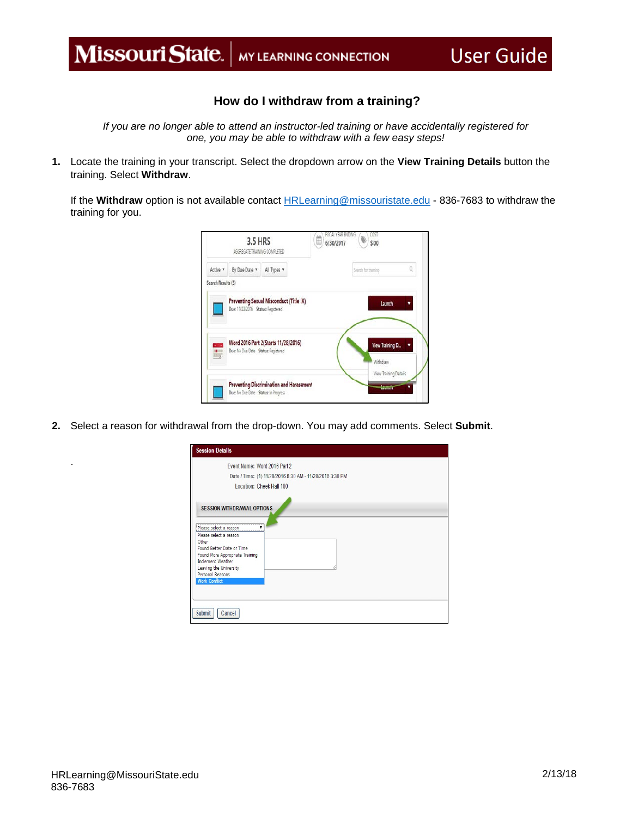## **How do I withdraw from a training?**

*If you are no longer able to attend an instructor-led training or have accidentally registered for one, you may be able to withdraw with a few easy steps!* 

**1.** Locate the training in your transcript. Select the dropdown arrow on the **View Training Details** button the training. Select **Withdraw**.

If the **Withdraw** option is not available contact [HRLearning@missouristate.edu](mailto:HRLearning@missouristate.edu) - 836-7683 to withdraw the training for you.

|                    | 3.5 HRS<br>AGGREGATE TRAINING COMPLETED |                                          | FISCAL VEAR FNOING<br>Ê<br>6/30/2017 | œs<br>\$.00                           |   |
|--------------------|-----------------------------------------|------------------------------------------|--------------------------------------|---------------------------------------|---|
| Active v           | By Due Date                             | All Types                                |                                      | Search for training                   | Ō |
| Search Results (5) |                                         |                                          |                                      |                                       |   |
|                    | Due: 11/22/2016 Status: Registered      | Preventing Sexual Misconduct (Title IX)  |                                      | Launch                                |   |
| ÷                  | Due: No Due Date Status: Registered     | Word 2016 Part 2(Starts 11/28/2016)      |                                      | View Training D.<br>Withdraw          |   |
|                    | Due: No Due Date Status: In Progress    | Preventing Discrimination and Harassment |                                      | View Training Details<br><b>Lound</b> |   |

**2.** Select a reason for withdrawal from the drop-down. You may add comments. Select **Submit**.

| Event Name: Word 2016 Part 2               | Date / Time: (1) 11/28/2016 8:30 AM - 11/28/2016 3:30 PM |  |
|--------------------------------------------|----------------------------------------------------------|--|
| Location: Cheek Hall 100                   |                                                          |  |
|                                            |                                                          |  |
| <b>SESSION WITHDRAWAL OPTIONS</b>          |                                                          |  |
|                                            |                                                          |  |
| Please select a reason                     |                                                          |  |
| Please select a reason<br>Other            |                                                          |  |
| Found Better Date or Time                  |                                                          |  |
| Found More Appropriate Training            |                                                          |  |
| Inclement Weather                          |                                                          |  |
| Leaving the University<br>Personal Reasons |                                                          |  |
|                                            |                                                          |  |
|                                            |                                                          |  |
|                                            |                                                          |  |
| <b>Work Conflict</b>                       |                                                          |  |

.